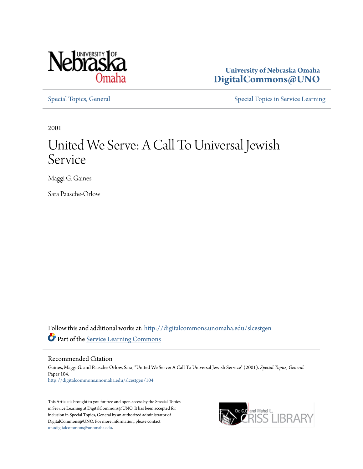

**University of Nebraska Omaha [DigitalCommons@UNO](http://digitalcommons.unomaha.edu?utm_source=digitalcommons.unomaha.edu%2Fslcestgen%2F104&utm_medium=PDF&utm_campaign=PDFCoverPages)**

[Special Topics, General](http://digitalcommons.unomaha.edu/slcestgen?utm_source=digitalcommons.unomaha.edu%2Fslcestgen%2F104&utm_medium=PDF&utm_campaign=PDFCoverPages) [Special Topics in Service Learning](http://digitalcommons.unomaha.edu/slcespecialtopics?utm_source=digitalcommons.unomaha.edu%2Fslcestgen%2F104&utm_medium=PDF&utm_campaign=PDFCoverPages)

2001

## United We Serve: A Call To Universal Jewish Service

Maggi G. Gaines

Sara Paasche-Orlow

Follow this and additional works at: [http://digitalcommons.unomaha.edu/slcestgen](http://digitalcommons.unomaha.edu/slcestgen?utm_source=digitalcommons.unomaha.edu%2Fslcestgen%2F104&utm_medium=PDF&utm_campaign=PDFCoverPages) Part of the [Service Learning Commons](http://network.bepress.com/hgg/discipline/1024?utm_source=digitalcommons.unomaha.edu%2Fslcestgen%2F104&utm_medium=PDF&utm_campaign=PDFCoverPages)

Recommended Citation

Gaines, Maggi G. and Paasche-Orlow, Sara, "United We Serve: A Call To Universal Jewish Service" (2001). *Special Topics, General.* Paper 104. [http://digitalcommons.unomaha.edu/slcestgen/104](http://digitalcommons.unomaha.edu/slcestgen/104?utm_source=digitalcommons.unomaha.edu%2Fslcestgen%2F104&utm_medium=PDF&utm_campaign=PDFCoverPages)

This Article is brought to you for free and open access by the Special Topics in Service Learning at DigitalCommons@UNO. It has been accepted for inclusion in Special Topics, General by an authorized administrator of DigitalCommons@UNO. For more information, please contact [unodigitalcommons@unomaha.edu](mailto:unodigitalcommons@unomaha.edu).